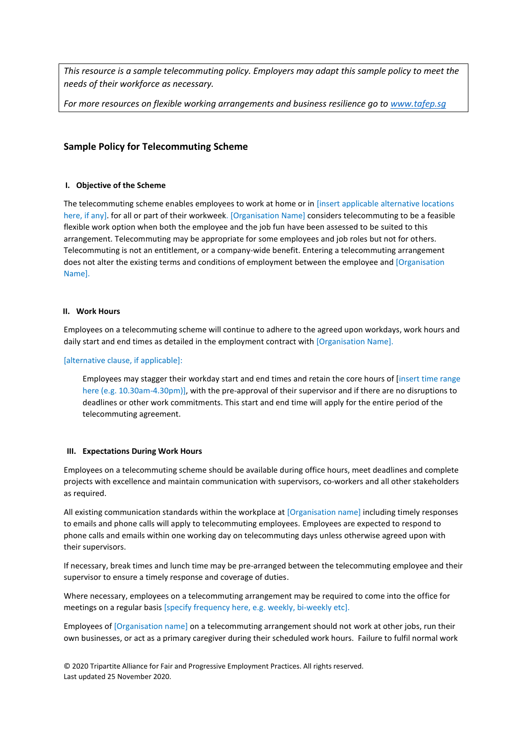*This resource is a sample telecommuting policy. Employers may adapt this sample policy to meet the needs of their workforce as necessary.* 

*For more resources on flexible working arrangements and business resilience go to [www.tafep.sg](http://www.tafep.sg/)*

# **Sample Policy for Telecommuting Scheme**

### **I. Objective of the Scheme**

The telecommuting scheme enables employees to work at home or in [insert applicable alternative locations here, if any]. for all or part of their workweek. [Organisation Name] considers telecommuting to be a feasible flexible work option when both the employee and the job fun have been assessed to be suited to this arrangement. Telecommuting may be appropriate for some employees and job roles but not for others. Telecommuting is not an entitlement, or a company-wide benefit. Entering a telecommuting arrangement does not alter the existing terms and conditions of employment between the employee and [Organisation Name].

### **II. Work Hours**

Employees on a telecommuting scheme will continue to adhere to the agreed upon workdays, work hours and daily start and end times as detailed in the employment contract with [Organisation Name].

### [alternative clause, if applicable]:

Employees may stagger their workday start and end times and retain the core hours of [insert time range here (e.g. 10.30am-4.30pm)], with the pre-approval of their supervisor and if there are no disruptions to deadlines or other work commitments. This start and end time will apply for the entire period of the telecommuting agreement.

#### **III. Expectations During Work Hours**

Employees on a telecommuting scheme should be available during office hours, meet deadlines and complete projects with excellence and maintain communication with supervisors, co-workers and all other stakeholders as required.

All existing communication standards within the workplace at [Organisation name] including timely responses to emails and phone calls will apply to telecommuting employees. Employees are expected to respond to phone calls and emails within one working day on telecommuting days unless otherwise agreed upon with their supervisors.

If necessary, break times and lunch time may be pre-arranged between the telecommuting employee and their supervisor to ensure a timely response and coverage of duties.

Where necessary, employees on a telecommuting arrangement may be required to come into the office for meetings on a regular basis [specify frequency here, e.g. weekly, bi-weekly etc].

Employees of [Organisation name] on a telecommuting arrangement should not work at other jobs, run their own businesses, or act as a primary caregiver during their scheduled work hours. Failure to fulfil normal work

© 2020 Tripartite Alliance for Fair and Progressive Employment Practices. All rights reserved. Last updated 25 November 2020.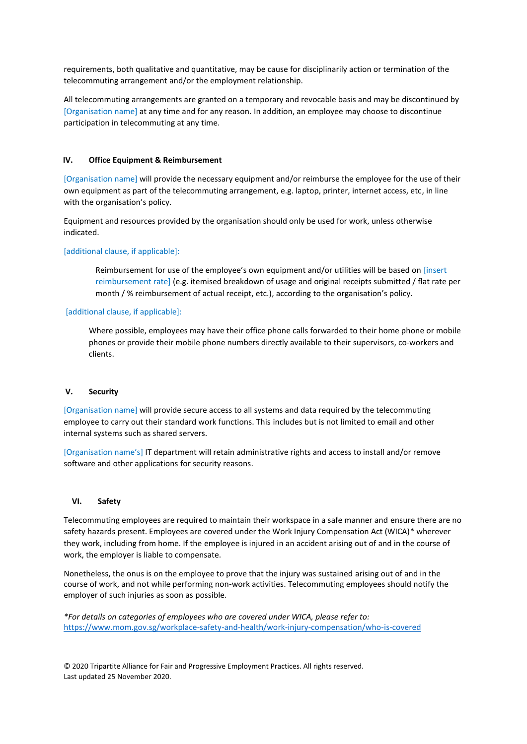requirements, both qualitative and quantitative, may be cause for disciplinarily action or termination of the telecommuting arrangement and/or the employment relationship.

All telecommuting arrangements are granted on a temporary and revocable basis and may be discontinued by [Organisation name] at any time and for any reason. In addition, an employee may choose to discontinue participation in telecommuting at any time.

### **IV. Office Equipment & Reimbursement**

[Organisation name] will provide the necessary equipment and/or reimburse the employee for the use of their own equipment as part of the telecommuting arrangement, e.g. laptop, printer, internet access, etc, in line with the organisation's policy.

Equipment and resources provided by the organisation should only be used for work, unless otherwise indicated.

### [additional clause, if applicable]:

Reimbursement for use of the employee's own equipment and/or utilities will be based on [insert reimbursement rate] (e.g. itemised breakdown of usage and original receipts submitted / flat rate per month / % reimbursement of actual receipt, etc.), according to the organisation's policy.

### [additional clause, if applicable]:

Where possible, employees may have their office phone calls forwarded to their home phone or mobile phones or provide their mobile phone numbers directly available to their supervisors, co-workers and clients.

### **V. Security**

[Organisation name] will provide secure access to all systems and data required by the telecommuting employee to carry out their standard work functions. This includes but is not limited to email and other internal systems such as shared servers.

[Organisation name's] IT department will retain administrative rights and access to install and/or remove software and other applications for security reasons.

# **VI. Safety**

Telecommuting employees are required to maintain their workspace in a safe manner and ensure there are no safety hazards present. Employees are covered under the Work Injury Compensation Act (WICA)\* wherever they work, including from home. If the employee is injured in an accident arising out of and in the course of work, the employer is liable to compensate.

Nonetheless, the onus is on the employee to prove that the injury was sustained arising out of and in the course of work, and not while performing non-work activities. Telecommuting employees should notify the employer of such injuries as soon as possible.

*\*For details on categories of employees who are covered under WICA, please refer to:*  <https://www.mom.gov.sg/workplace-safety-and-health/work-injury-compensation/who-is-covered>

© 2020 Tripartite Alliance for Fair and Progressive Employment Practices. All rights reserved. Last updated 25 November 2020.